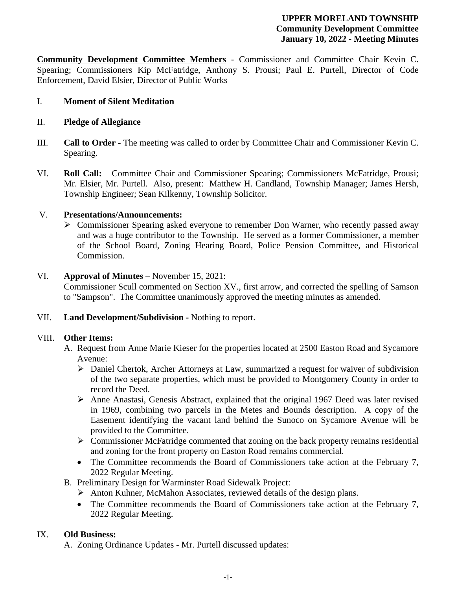#### **UPPER MORELAND TOWNSHIP Community Development Committee January 10, 2022 - Meeting Minutes**

**Community Development Committee Members** - Commissioner and Committee Chair Kevin C. Spearing; Commissioners Kip McFatridge, Anthony S. Prousi; Paul E. Purtell, Director of Code Enforcement, David Elsier, Director of Public Works

### I. **Moment of Silent Meditation**

### II. **Pledge of Allegiance**

- III. **Call to Order -** The meeting was called to order by Committee Chair and Commissioner Kevin C. Spearing.
- VI. **Roll Call:** Committee Chair and Commissioner Spearing; Commissioners McFatridge, Prousi; Mr. Elsier, Mr. Purtell. Also, present: Matthew H. Candland, Township Manager; James Hersh, Township Engineer; Sean Kilkenny, Township Solicitor.

### V. **Presentations/Announcements:**

 Commissioner Spearing asked everyone to remember Don Warner, who recently passed away and was a huge contributor to the Township. He served as a former Commissioner, a member of the School Board, Zoning Hearing Board, Police Pension Committee, and Historical Commission.

### VI. **Approval of Minutes –** November 15, 2021:

Commissioner Scull commented on Section XV., first arrow, and corrected the spelling of Samson to "Sampson". The Committee unanimously approved the meeting minutes as amended.

### VII. **Land Development/Subdivision -** Nothing to report.

### VIII. **Other Items:**

- A. Request from Anne Marie Kieser for the properties located at 2500 Easton Road and Sycamore Avenue:
	- Daniel Chertok, Archer Attorneys at Law, summarized a request for waiver of subdivision of the two separate properties, which must be provided to Montgomery County in order to record the Deed.
	- $\triangleright$  Anne Anastasi, Genesis Abstract, explained that the original 1967 Deed was later revised in 1969, combining two parcels in the Metes and Bounds description. A copy of the Easement identifying the vacant land behind the Sunoco on Sycamore Avenue will be provided to the Committee.
	- Commissioner McFatridge commented that zoning on the back property remains residential and zoning for the front property on Easton Road remains commercial.
	- The Committee recommends the Board of Commissioners take action at the February 7, 2022 Regular Meeting.
- B. Preliminary Design for Warminster Road Sidewalk Project:
	- Anton Kuhner, McMahon Associates, reviewed details of the design plans.
	- The Committee recommends the Board of Commissioners take action at the February 7, 2022 Regular Meeting.

# IX. **Old Business:**

A. Zoning Ordinance Updates - Mr. Purtell discussed updates: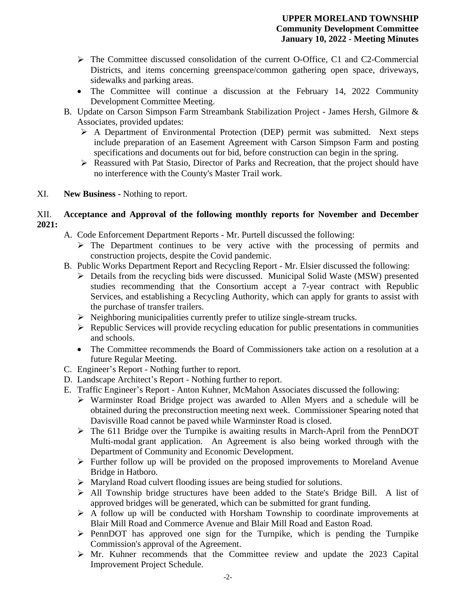- $\triangleright$  The Committee discussed consolidation of the current O-Office, C1 and C2-Commercial Districts, and items concerning greenspace/common gathering open space, driveways, sidewalks and parking areas.
- The Committee will continue a discussion at the February 14, 2022 Community Development Committee Meeting.
- B. Update on Carson Simpson Farm Streambank Stabilization Project James Hersh, Gilmore & Associates, provided updates:
	- $\triangleright$  A Department of Environmental Protection (DEP) permit was submitted. Next steps include preparation of an Easement Agreement with Carson Simpson Farm and posting specifications and documents out for bid, before construction can begin in the spring.
	- $\triangleright$  Reassured with Pat Stasio, Director of Parks and Recreation, that the project should have no interference with the County's Master Trail work.
- XI. **New Business** Nothing to report.

#### XII. **Acceptance and Approval of the following monthly reports for November and December 2021:**

- A. Code Enforcement Department Reports Mr. Purtell discussed the following:
	- $\triangleright$  The Department continues to be very active with the processing of permits and construction projects, despite the Covid pandemic.
- B. Public Works Department Report and Recycling Report Mr. Elsier discussed the following:
	- Details from the recycling bids were discussed. Municipal Solid Waste (MSW) presented studies recommending that the Consortium accept a 7-year contract with Republic Services, and establishing a Recycling Authority, which can apply for grants to assist with the purchase of transfer trailers.
	- $\triangleright$  Neighboring municipalities currently prefer to utilize single-stream trucks.
	- $\triangleright$  Republic Services will provide recycling education for public presentations in communities and schools.
	- The Committee recommends the Board of Commissioners take action on a resolution at a future Regular Meeting.
- C. Engineer's Report Nothing further to report.
- D. Landscape Architect's Report Nothing further to report.
- E. Traffic Engineer's Report Anton Kuhner, McMahon Associates discussed the following:
	- Warminster Road Bridge project was awarded to Allen Myers and a schedule will be obtained during the preconstruction meeting next week. Commissioner Spearing noted that Davisville Road cannot be paved while Warminster Road is closed.
	- $\triangleright$  The 611 Bridge over the Turnpike is awaiting results in March-April from the PennDOT Multi-modal grant application. An Agreement is also being worked through with the Department of Community and Economic Development.
	- $\triangleright$  Further follow up will be provided on the proposed improvements to Moreland Avenue Bridge in Hatboro.
	- Maryland Road culvert flooding issues are being studied for solutions.
	- All Township bridge structures have been added to the State's Bridge Bill. A list of approved bridges will be generated, which can be submitted for grant funding.
	- $\triangleright$  A follow up will be conducted with Horsham Township to coordinate improvements at Blair Mill Road and Commerce Avenue and Blair Mill Road and Easton Road.
	- $\triangleright$  PennDOT has approved one sign for the Turnpike, which is pending the Turnpike Commission's approval of the Agreement.
	- $\triangleright$  Mr. Kuhner recommends that the Committee review and update the 2023 Capital Improvement Project Schedule.